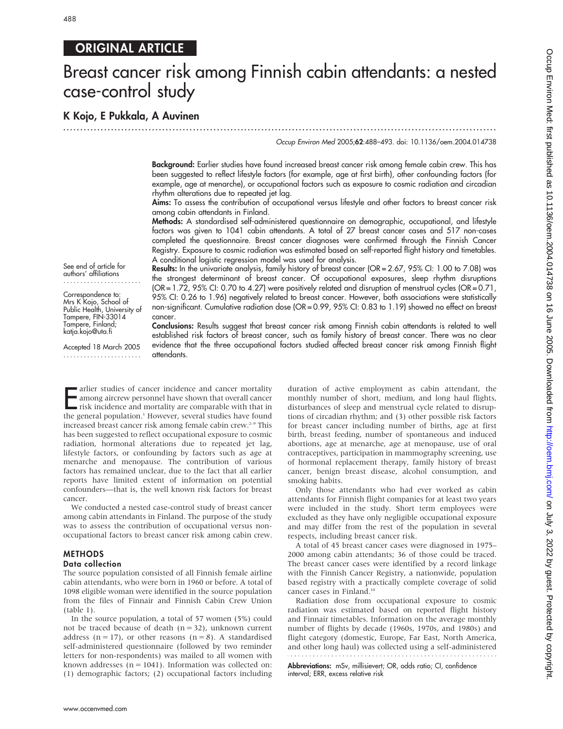# ORIGINAL ARTICLE

# Breast cancer risk among Finnish cabin attendants: a nested case-control study

...............................................................................................................................

## K Kojo, E Pukkala, A Auvinen

### Occup Environ Med 2005;62:488–493. doi: 10.1136/oem.2004.014738

Background: Earlier studies have found increased breast cancer risk among female cabin crew. This has been suggested to reflect lifestyle factors (for example, age at first birth), other confounding factors (for example, age at menarche), or occupational factors such as exposure to cosmic radiation and circadian rhythm alterations due to repeated jet lag.

Aims: To assess the contribution of occupational versus lifestyle and other factors to breast cancer risk among cabin attendants in Finland.

Methods: A standardised self-administered questionnaire on demographic, occupational, and lifestyle factors was given to 1041 cabin attendants. A total of 27 breast cancer cases and 517 non-cases completed the questionnaire. Breast cancer diagnoses were confirmed through the Finnish Cancer Registry. Exposure to cosmic radiation was estimated based on self-reported flight history and timetables. A conditional logistic regression model was used for analysis.

See end of article for authors' affiliations .......................

Correspondence to: Mrs K Kojo, School of Public Health, University of Tampere, FIN-33014 Tampere, Finland; katja.kojo@uta.fi

Accepted 18 March 2005 .......................

Results: In the univariate analysis, family history of breast cancer (OR = 2.67, 95% CI: 1.00 to 7.08) was the strongest determinant of breast cancer. Of occupational exposures, sleep rhythm disruptions (OR = 1.72, 95% CI: 0.70 to 4.27) were positively related and disruption of menstrual cycles (OR = 0.71, 95% CI: 0.26 to 1.96) negatively related to breast cancer. However, both associations were statistically non-significant. Cumulative radiation dose (OR = 0.99, 95% CI: 0.83 to 1.19) showed no effect on breast cancer.

Conclusions: Results suggest that breast cancer risk among Finnish cabin attendants is related to well established risk factors of breast cancer, such as family history of breast cancer. There was no clear evidence that the three occupational factors studied affected breast cancer risk among Finnish flight attendants.

Frame and cancer incidence and cancer mortality<br>among aircrew personnel have shown that overall cancer<br>risk incidence and mortality are comparable with that in<br>the general population.<sup>1</sup> However, several studies have found arlier studies of cancer incidence and cancer mortality among aircrew personnel have shown that overall cancer risk incidence and mortality are comparable with that in increased breast cancer risk among female cabin crew.<sup>2-9</sup> This has been suggested to reflect occupational exposure to cosmic radiation, hormonal alterations due to repeated jet lag, lifestyle factors, or confounding by factors such as age at menarche and menopause. The contribution of various factors has remained unclear, due to the fact that all earlier reports have limited extent of information on potential confounders—that is, the well known risk factors for breast cancer.

We conducted a nested case-control study of breast cancer among cabin attendants in Finland. The purpose of the study was to assess the contribution of occupational versus nonoccupational factors to breast cancer risk among cabin crew.

## METHODS

## Data collection

The source population consisted of all Finnish female airline cabin attendants, who were born in 1960 or before. A total of 1098 eligible woman were identified in the source population from the files of Finnair and Finnish Cabin Crew Union (table 1).

In the source population, a total of 57 women (5%) could not be traced because of death  $(n = 32)$ , unknown current address ( $n = 17$ ), or other reasons ( $n = 8$ ). A standardised self-administered questionnaire (followed by two reminder letters for non-respondents) was mailed to all women with known addresses  $(n = 1041)$ . Information was collected on: (1) demographic factors; (2) occupational factors including duration of active employment as cabin attendant, the monthly number of short, medium, and long haul flights, disturbances of sleep and menstrual cycle related to disruptions of circadian rhythm; and (3) other possible risk factors for breast cancer including number of births, age at first birth, breast feeding, number of spontaneous and induced abortions, age at menarche, age at menopause, use of oral contraceptives, participation in mammography screening, use of hormonal replacement therapy, family history of breast cancer, benign breast disease, alcohol consumption, and smoking habits.

Only those attendants who had ever worked as cabin attendants for Finnish flight companies for at least two years were included in the study. Short term employees were excluded as they have only negligible occupational exposure and may differ from the rest of the population in several respects, including breast cancer risk.

A total of 45 breast cancer cases were diagnosed in 1975– 2000 among cabin attendants; 36 of those could be traced. The breast cancer cases were identified by a record linkage with the Finnish Cancer Registry, a nationwide, population based registry with a practically complete coverage of solid cancer cases in Finland.<sup>10</sup>

Radiation dose from occupational exposure to cosmic radiation was estimated based on reported flight history and Finnair timetables. Information on the average monthly number of flights by decade (1960s, 1970s, and 1980s) and flight category (domestic, Europe, Far East, North America, and other long haul) was collected using a self-administered 

Abbreviations: mSv, millisievert; OR, odds ratio; CI, confidence interval; ERR, excess relative risk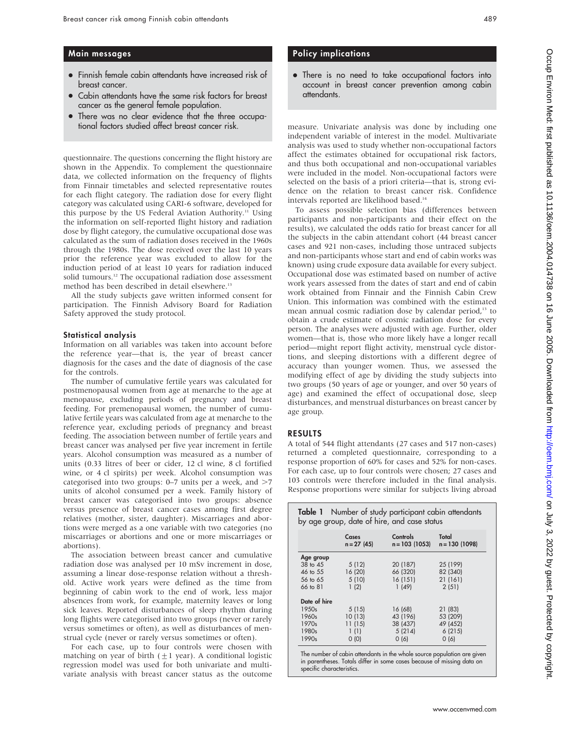## Main messages

- Finnish female cabin attendants have increased risk of breast cancer.
- Cabin attendants have the same risk factors for breast cancer as the general female population.
- There was no clear evidence that the three occupational factors studied affect breast cancer risk.

questionnaire. The questions concerning the flight history are shown in the Appendix. To complement the questionnaire data, we collected information on the frequency of flights from Finnair timetables and selected representative routes for each flight category. The radiation dose for every flight category was calculated using CARI-6 software, developed for this purpose by the US Federal Aviation Authority.<sup>11</sup> Using the information on self-reported flight history and radiation dose by flight category, the cumulative occupational dose was calculated as the sum of radiation doses received in the 1960s through the 1980s. The dose received over the last 10 years prior the reference year was excluded to allow for the induction period of at least 10 years for radiation induced solid tumours.<sup>12</sup> The occupational radiation dose assessment method has been described in detail elsewhere.<sup>13</sup>

All the study subjects gave written informed consent for participation. The Finnish Advisory Board for Radiation Safety approved the study protocol.

### Statistical analysis

Information on all variables was taken into account before the reference year—that is, the year of breast cancer diagnosis for the cases and the date of diagnosis of the case for the controls.

The number of cumulative fertile years was calculated for postmenopausal women from age at menarche to the age at menopause, excluding periods of pregnancy and breast feeding. For premenopausal women, the number of cumulative fertile years was calculated from age at menarche to the reference year, excluding periods of pregnancy and breast feeding. The association between number of fertile years and breast cancer was analysed per five year increment in fertile years. Alcohol consumption was measured as a number of units (0.33 litres of beer or cider, 12 cl wine, 8 cl fortified wine, or 4 cl spirits) per week. Alcohol consumption was categorised into two groups:  $0-7$  units per a week, and  $>7$ units of alcohol consumed per a week. Family history of breast cancer was categorised into two groups: absence versus presence of breast cancer cases among first degree relatives (mother, sister, daughter). Miscarriages and abortions were merged as a one variable with two categories (no miscarriages or abortions and one or more miscarriages or abortions).

The association between breast cancer and cumulative radiation dose was analysed per 10 mSv increment in dose, assuming a linear dose-response relation without a threshold. Active work years were defined as the time from beginning of cabin work to the end of work, less major absences from work, for example, maternity leaves or long sick leaves. Reported disturbances of sleep rhythm during long flights were categorised into two groups (never or rarely versus sometimes or often), as well as disturbances of menstrual cycle (never or rarely versus sometimes or often).

For each case, up to four controls were chosen with matching on year of birth  $(†1$  year). A conditional logistic regression model was used for both univariate and multivariate analysis with breast cancer status as the outcome

## Policy implications

• There is no need to take occupational factors into account in breast cancer prevention among cabin attendants.

measure. Univariate analysis was done by including one independent variable of interest in the model. Multivariate analysis was used to study whether non-occupational factors affect the estimates obtained for occupational risk factors, and thus both occupational and non-occupational variables were included in the model. Non-occupational factors were selected on the basis of a priori criteria—that is, strong evidence on the relation to breast cancer risk. Confidence intervals reported are likelihood based.<sup>14</sup>

To assess possible selection bias (differences between participants and non-participants and their effect on the results), we calculated the odds ratio for breast cancer for all the subjects in the cabin attendant cohort (44 breast cancer cases and 921 non-cases, including those untraced subjects and non-participants whose start and end of cabin works was known) using crude exposure data available for every subject. Occupational dose was estimated based on number of active work years assessed from the dates of start and end of cabin work obtained from Finnair and the Finnish Cabin Crew Union. This information was combined with the estimated mean annual cosmic radiation dose by calendar period,<sup>13</sup> to obtain a crude estimate of cosmic radiation dose for every person. The analyses were adjusted with age. Further, older women—that is, those who more likely have a longer recall period—might report flight activity, menstrual cycle distortions, and sleeping distortions with a different degree of accuracy than younger women. Thus, we assessed the modifying effect of age by dividing the study subjects into two groups (50 years of age or younger, and over 50 years of age) and examined the effect of occupational dose, sleep disturbances, and menstrual disturbances on breast cancer by age group.

## RESULTS

A total of 544 flight attendants (27 cases and 517 non-cases) returned a completed questionnaire, corresponding to a response proportion of 60% for cases and 52% for non-cases. For each case, up to four controls were chosen; 27 cases and 103 controls were therefore included in the final analysis. Response proportions were similar for subjects living abroad

|              |                       | <b>Controls</b> |                                            |
|--------------|-----------------------|-----------------|--------------------------------------------|
|              | Cases<br>$n = 27(45)$ |                 | Total<br>$n = 103$ (1053) $n = 130$ (1098) |
| Age group    |                       |                 |                                            |
| 38 to 45     | 5(12)                 | 20 (187)        | 25 (199)                                   |
| 46 to 55     | 16(20)                | 66 (320)        | 82 (340)                                   |
| 56 to 65     | 5(10)                 | 16(151)         | 21 (161)                                   |
| 66 to 81     | 1(2)                  | 1(49)           | 2(51)                                      |
| Date of hire |                       |                 |                                            |
| 1950s        | 5(15)                 | 16 (68)         | 21 (83)                                    |
| 1960s        | 10(13)                | 43 (196)        | 53 (209)                                   |
| 1970s        | 11(15)                | 38 (437)        | 49 (452)                                   |
| 1980s        | 1(1)                  | 5(214)          | 6(215)                                     |
| 1990s        | 0(0)                  | 0(6)            | 0(6)                                       |

in parentheses. Totals differ in some cases because of missing data on specific characteristics.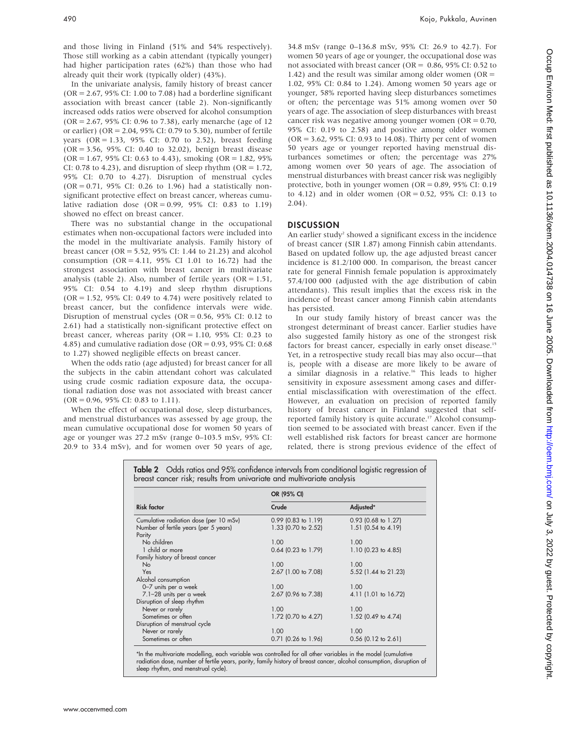and those living in Finland (51% and 54% respectively). Those still working as a cabin attendant (typically younger) had higher participation rates (62%) than those who had already quit their work (typically older) (43%).

In the univariate analysis, family history of breast cancer  $(OR = 2.67, 95\% CI: 1.00$  to 7.08) had a borderline significant association with breast cancer (table 2). Non-significantly increased odds ratios were observed for alcohol consumption (OR = 2.67, 95% CI: 0.96 to 7.38), early menarche (age of 12 or earlier) (OR = 2.04, 95% CI: 0.79 to 5.30), number of fertile years ( $OR = 1.33$ ,  $95\%$  CI: 0.70 to 2.52), breast feeding (OR = 3.56, 95% CI: 0.40 to 32.02), benign breast disease  $(OR = 1.67, 95\% \text{ CI: } 0.63 \text{ to } 4.43)$ , smoking  $(OR = 1.82, 95\%$ CI: 0.78 to 4.23), and disruption of sleep rhythm ( $OR = 1.72$ , 95% CI: 0.70 to 4.27). Disruption of menstrual cycles  $(OR = 0.71, 95\% \text{ CI: } 0.26 \text{ to } 1.96) \text{ had a statistically non-}$ significant protective effect on breast cancer, whereas cumulative radiation dose  $(OR = 0.99, 95\% \text{ CI: } 0.83 \text{ to } 1.19)$ showed no effect on breast cancer.

There was no substantial change in the occupational estimates when non-occupational factors were included into the model in the multivariate analysis. Family history of breast cancer (OR = 5.52, 95% CI: 1.44 to 21.23) and alcohol consumption  $(OR = 4.11, 95\% \text{ CI } 1.01 \text{ to } 16.72)$  had the strongest association with breast cancer in multivariate analysis (table 2). Also, number of fertile years ( $OR = 1.51$ , 95% CI: 0.54 to 4.19) and sleep rhythm disruptions  $(OR = 1.52, 95\% \text{ CI: } 0.49 \text{ to } 4.74)$  were positively related to breast cancer, but the confidence intervals were wide. Disruption of menstrual cycles (OR =  $0.56$ , 95% CI: 0.12 to 2.61) had a statistically non-significant protective effect on breast cancer, whereas parity ( $OR = 1.10$ ,  $95\%$  CI: 0.23 to 4.85) and cumulative radiation dose (OR =  $0.93$ , 95% CI: 0.68 to 1.27) showed negligible effects on breast cancer.

When the odds ratio (age adjusted) for breast cancer for all the subjects in the cabin attendant cohort was calculated using crude cosmic radiation exposure data, the occupational radiation dose was not associated with breast cancer  $(OR = 0.96, 95\% \text{ CI: } 0.83 \text{ to } 1.11).$ 

When the effect of occupational dose, sleep disturbances, and menstrual disturbances was assessed by age group, the mean cumulative occupational dose for women 50 years of age or younger was 27.2 mSv (range 0–103.5 mSv, 95% CI: 20.9 to 33.4 mSv), and for women over 50 years of age,

34.8 mSv (range 0–136.8 mSv, 95% CI: 26.9 to 42.7). For women 50 years of age or younger, the occupational dose was not associated with breast cancer (OR =  $0.86$ , 95% CI: 0.52 to 1.42) and the result was similar among older women ( $OR =$ 1.02, 95% CI: 0.84 to 1.24). Among women 50 years age or younger, 58% reported having sleep disturbances sometimes or often; the percentage was 51% among women over 50 years of age. The association of sleep disturbances with breast cancer risk was negative among younger women ( $OR = 0.70$ , 95% CI: 0.19 to 2.58) and positive among older women (OR = 3.62, 95% CI: 0.93 to 14.08). Thirty per cent of women 50 years age or younger reported having menstrual disturbances sometimes or often; the percentage was 27% among women over 50 years of age. The association of menstrual disturbances with breast cancer risk was negligibly protective, both in younger women (OR = 0.89, 95% CI: 0.19 to 4.12) and in older women (OR =  $0.52$ , 95% CI: 0.13 to 2.04).

## **DISCUSSION**

An earlier study<sup>2</sup> showed a significant excess in the incidence of breast cancer (SIR 1.87) among Finnish cabin attendants. Based on updated follow up, the age adjusted breast cancer incidence is 81.2/100 000. In comparison, the breast cancer rate for general Finnish female population is approximately 57.4/100 000 (adjusted with the age distribution of cabin attendants). This result implies that the excess risk in the incidence of breast cancer among Finnish cabin attendants has persisted.

In our study family history of breast cancer was the strongest determinant of breast cancer. Earlier studies have also suggested family history as one of the strongest risk factors for breast cancer, especially in early onset disease.<sup>15</sup> Yet, in a retrospective study recall bias may also occur—that is, people with a disease are more likely to be aware of a similar diagnosis in a relative.<sup>16</sup> This leads to higher sensitivity in exposure assessment among cases and differential misclassification with overestimation of the effect. However, an evaluation on precision of reported family history of breast cancer in Finland suggested that selfreported family history is quite accurate.<sup>17</sup> Alcohol consumption seemed to be associated with breast cancer. Even if the well established risk factors for breast cancer are hormone related, there is strong previous evidence of the effect of

|  | Table 2 Odds ratios and 95% confidence intervals from conditional logistic regression of |  |
|--|------------------------------------------------------------------------------------------|--|
|  | breast cancer risk; results from univariate and multivariate analysis                    |  |

|                                        | OR (95% CI)           |                       |
|----------------------------------------|-----------------------|-----------------------|
| <b>Risk factor</b>                     | Crude                 | Adjusted*             |
| Cumulative radiation dose (per 10 mSv) | $0.99$ (0.83 to 1.19) | 0.93 (0.68 to 1.27)   |
| Number of fertile years (per 5 years)  | 1.33 (0.70 to 2.52)   | 1.51 (0.54 to 4.19)   |
| Parity                                 |                       |                       |
| No children                            | 1.00                  | 1.00                  |
| 1 child or more                        | $0.64$ (0.23 to 1.79) | 1.10 (0.23 to 4.85)   |
| Family history of breast cancer        |                       |                       |
| N <sub>o</sub>                         | 1.00                  | 1.00                  |
| Yes                                    | 2.67 (1.00 to 7.08)   | 5.52 (1.44 to 21.23)  |
| Alcohol consumption                    |                       |                       |
| 0-7 units per a week                   | 1.00                  | 1.00                  |
| 7.1-28 units per a week                | 2.67 (0.96 to 7.38)   | 4.11 (1.01 to 16.72)  |
| Disruption of sleep rhythm             |                       |                       |
| Never or rarely                        | 1.00                  | 1.00                  |
| Sometimes or often                     | 1.72 (0.70 to 4.27)   | 1.52 (0.49 to 4.74)   |
| Disruption of menstrual cycle          |                       |                       |
| Never or rarely                        | 1.00                  | 1.00                  |
| Sometimes or often                     | $0.71$ (0.26 to 1.96) | $0.56$ (0.12 to 2.61) |

\*In the multivariate modelling, each variable was controlled for all other variables in the model (cumulative radiation dose, number of fertile years, parity, family history of breast cancer, alcohol consumption, disruption of sleep rhythm, and menstrual cycle).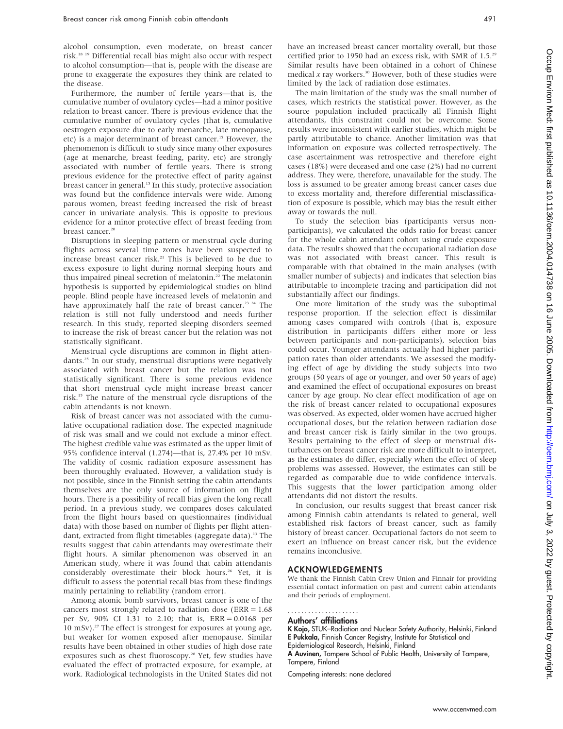alcohol consumption, even moderate, on breast cancer risk.18 19 Differential recall bias might also occur with respect to alcohol consumption—that is, people with the disease are prone to exaggerate the exposures they think are related to the disease.

Furthermore, the number of fertile years—that is, the cumulative number of ovulatory cycles—had a minor positive relation to breast cancer. There is previous evidence that the cumulative number of ovulatory cycles (that is, cumulative oestrogen exposure due to early menarche, late menopause, etc) is a major determinant of breast cancer.<sup>15</sup> However, the phenomenon is difficult to study since many other exposures (age at menarche, breast feeding, parity, etc) are strongly associated with number of fertile years. There is strong previous evidence for the protective effect of parity against breast cancer in general.<sup>15</sup> In this study, protective association was found but the confidence intervals were wide. Among parous women, breast feeding increased the risk of breast cancer in univariate analysis. This is opposite to previous evidence for a minor protective effect of breast feeding from breast cancer.<sup>20</sup>

Disruptions in sleeping pattern or menstrual cycle during flights across several time zones have been suspected to increase breast cancer risk.<sup>21</sup> This is believed to be due to excess exposure to light during normal sleeping hours and thus impaired pineal secretion of melatonin.<sup>22</sup> The melatonin hypothesis is supported by epidemiological studies on blind people. Blind people have increased levels of melatonin and have approximately half the rate of breast cancer.<sup>23 24</sup> The relation is still not fully understood and needs further research. In this study, reported sleeping disorders seemed to increase the risk of breast cancer but the relation was not statistically significant.

Menstrual cycle disruptions are common in flight attendants.25 In our study, menstrual disruptions were negatively associated with breast cancer but the relation was not statistically significant. There is some previous evidence that short menstrual cycle might increase breast cancer risk.15 The nature of the menstrual cycle disruptions of the cabin attendants is not known.

Risk of breast cancer was not associated with the cumulative occupational radiation dose. The expected magnitude of risk was small and we could not exclude a minor effect. The highest credible value was estimated as the upper limit of 95% confidence interval (1.274)—that is, 27.4% per 10 mSv. The validity of cosmic radiation exposure assessment has been thoroughly evaluated. However, a validation study is not possible, since in the Finnish setting the cabin attendants themselves are the only source of information on flight hours. There is a possibility of recall bias given the long recall period. In a previous study, we compares doses calculated from the flight hours based on questionnaires (individual data) with those based on number of flights per flight attendant, extracted from flight timetables (aggregate data).<sup>13</sup> The results suggest that cabin attendants may overestimate their flight hours. A similar phenomenon was observed in an American study, where it was found that cabin attendants considerably overestimate their block hours.<sup>26</sup> Yet, it is difficult to assess the potential recall bias from these findings mainly pertaining to reliability (random error).

Among atomic bomb survivors, breast cancer is one of the cancers most strongly related to radiation dose ( $ERR = 1.68$ ) per Sv, 90% CI 1.31 to 2.10; that is, ERR = 0.0168 per 10 mSv).27 The effect is strongest for exposures at young age, but weaker for women exposed after menopause. Similar results have been obtained in other studies of high dose rate exposures such as chest fluoroscopy.<sup>28</sup> Yet, few studies have evaluated the effect of protracted exposure, for example, at work. Radiological technologists in the United States did not have an increased breast cancer mortality overall, but those certified prior to 1950 had an excess risk, with SMR of 1.5.29 Similar results have been obtained in a cohort of Chinese medical  $x$  ray workers.<sup>30</sup> However, both of these studies were limited by the lack of radiation dose estimates.

The main limitation of the study was the small number of cases, which restricts the statistical power. However, as the source population included practically all Finnish flight attendants, this constraint could not be overcome. Some results were inconsistent with earlier studies, which might be partly attributable to chance. Another limitation was that information on exposure was collected retrospectively. The case ascertainment was retrospective and therefore eight cases (18%) were deceased and one case (2%) had no current address. They were, therefore, unavailable for the study. The loss is assumed to be greater among breast cancer cases due to excess mortality and, therefore differential misclassification of exposure is possible, which may bias the result either away or towards the null.

To study the selection bias (participants versus nonparticipants), we calculated the odds ratio for breast cancer for the whole cabin attendant cohort using crude exposure data. The results showed that the occupational radiation dose was not associated with breast cancer. This result is comparable with that obtained in the main analyses (with smaller number of subjects) and indicates that selection bias attributable to incomplete tracing and participation did not substantially affect our findings.

One more limitation of the study was the suboptimal response proportion. If the selection effect is dissimilar among cases compared with controls (that is, exposure distribution in participants differs either more or less between participants and non-participants), selection bias could occur. Younger attendants actually had higher participation rates than older attendants. We assessed the modifying effect of age by dividing the study subjects into two groups (50 years of age or younger, and over 50 years of age) and examined the effect of occupational exposures on breast cancer by age group. No clear effect modification of age on the risk of breast cancer related to occupational exposures was observed. As expected, older women have accrued higher occupational doses, but the relation between radiation dose and breast cancer risk is fairly similar in the two groups. Results pertaining to the effect of sleep or menstrual disturbances on breast cancer risk are more difficult to interpret, as the estimates do differ, especially when the effect of sleep problems was assessed. However, the estimates can still be regarded as comparable due to wide confidence intervals. This suggests that the lower participation among older attendants did not distort the results.

In conclusion, our results suggest that breast cancer risk among Finnish cabin attendants is related to general, well established risk factors of breast cancer, such as family history of breast cancer. Occupational factors do not seem to exert an influence on breast cancer risk, but the evidence remains inconclusive.

## ACKNOWLEDGEMENTS

We thank the Finnish Cabin Crew Union and Finnair for providing essential contact information on past and current cabin attendants and their periods of employment.

#### Authors' affiliations .....................

K Kojo, STUK-Radiation and Nuclear Safety Authority, Helsinki, Finland E Pukkala, Finnish Cancer Registry, Institute for Statistical and Epidemiological Research, Helsinki, Finland

A Auvinen, Tampere School of Public Health, University of Tampere, Tampere, Finland

Competing interests: none declared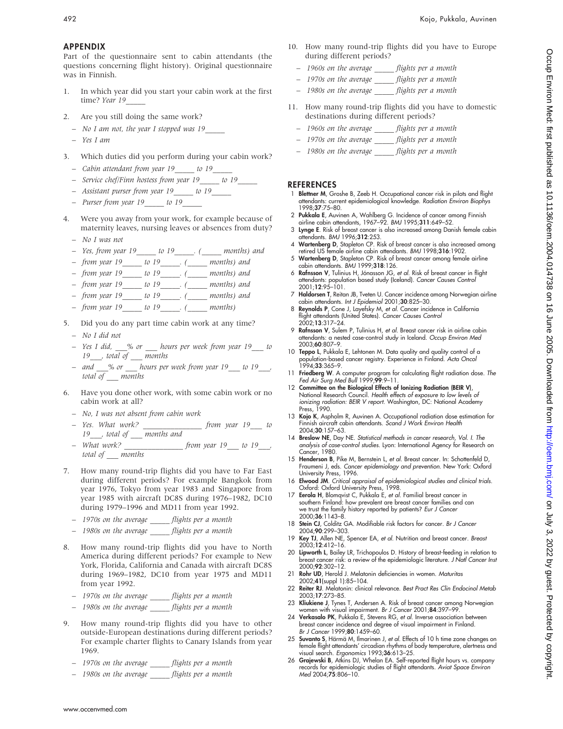On July 19, 2022 by guest. Protected by copyright. Protect be also in 10.0000. Downloaded from Prich; published as 10.1136/oem. Download as 10.1136/oem. Download as 10.1136/oem.2012. Disc published as 10.1136/oem. Download

as 10.1136/oem.2004.014738 on 16 June 2005. Downloaded from http://oem.bmj.com/ on July 3, 2022 by guest. Protected by copyright

Occup Environ Med: first published

Part of the questionnaire sent to cabin attendants (the questions concerning flight history). Original questionnaire was in Finnish.

- 1. In which year did you start your cabin work at the first time? Year 19
- 2. Are you still doing the same work?
	- No I am not, the year I stopped was 19\_\_\_\_\_
	- Yes I am
- 3. Which duties did you perform during your cabin work?
	- $-$  Cabin attendant from year 19  $-$  to 19
	- Service chef/Finn hostess from year 19\_\_\_\_\_ to 19\_\_\_\_\_
	- $-$  Assistant purser from year  $19$  to  $19$
	- $-$  Purser from year  $19$  to  $19$
- 4. Were you away from your work, for example because of maternity leaves, nursing leaves or absences from duty?
	- No I was not
	- Yes, from year 19\_\_\_\_\_ to 19\_\_\_\_\_. (\_\_\_\_\_ months) and
	- $-$  from year  $19$   $\_\_$  to  $19$   $\_\_$ . ( $\_\_$  months) and
	- $-$  from year  $19$   $\_\_$  to  $19$   $\_\_$ . ( $\_\_$  months) and
	- from year 19\_\_\_\_\_ to 19\_\_\_\_\_. (\_\_\_\_\_ months) and
	- from year 19\_\_\_\_\_ to 19\_\_\_\_\_. (\_\_\_\_\_ months) and
	- $-$  from year  $19$   $\_\_$  to  $19$   $\_\_$ . ( $\_\_$  months)
- 5. Did you do any part time cabin work at any time?
	- No I did not
	- Yes I did, \_\_\_% or \_\_\_ hours per week from year 19\_\_\_ to 19\_\_\_, total of \_\_\_ months
	- and  $\_\%$  or  $\_\_$  hours per week from year 19  $\_\_$  to 19  $\_\_$ total of \_\_\_ months
- 6. Have you done other work, with some cabin work or no cabin work at all?
	- No, I was not absent from cabin work
	- Yes. What work? \_\_\_\_\_\_\_\_\_\_\_\_\_\_\_ from year 19\_\_\_ to 19\_\_\_, total of \_\_\_ months and
	- What work? \_\_\_\_\_\_\_\_\_\_\_\_\_\_\_ from year 19\_\_\_ to 19\_\_\_, total of <u>months</u>
- 7. How many round-trip flights did you have to Far East during different periods? For example Bangkok from year 1976, Tokyo from year 1983 and Singapore from year 1985 with aircraft DC8S during 1976–1982, DC10 during 1979–1996 and MD11 from year 1992.
	- 1970s on the average \_\_\_\_\_ flights per a month
	- 1980s on the average \_\_\_\_\_ flights per a month
- 8. How many round-trip flights did you have to North America during different periods? For example to New York, Florida, California and Canada with aircraft DC8S during 1969–1982, DC10 from year 1975 and MD11 from year 1992.
	- 1970s on the average \_\_\_\_\_ flights per a month
	- 1980s on the average \_\_\_\_\_ flights per a month
- 9. How many round-trip flights did you have to other outside-European destinations during different periods? For example charter flights to Canary Islands from year 1969.
	- 1970s on the average \_\_\_\_\_\_ flights per a month
	- 1980s on the average flights per a month
- 10. How many round-trip flights did you have to Europe during different periods?
	- 1960s on the average \_\_\_\_\_ flights per a month
	- 1970s on the average \_\_\_\_\_\_ flights per a month
	- 1980s on the average \_\_\_\_\_ flights per a month
- 11. How many round-trip flights did you have to domestic destinations during different periods?
	- 1960s on the average \_\_\_\_\_\_ flights per a month
	- 1970s on the average flights per a month
	- 1980s on the average \_\_\_\_\_ flights per a month

### **REFERENCES**

- 1 Blettner M, Groshe B, Zeeb H. Occupational cancer risk in pilots and flight attendants: current epidemiological knowledge. Radiation Environ Biophys 1998;37:75–80.
- 2 Pukkala E, Auvinen A, Wahlberg G. Incidence of cancer among Finnish airline cabin attendants, 1967–92. BMJ 1995;311:649–52.
- 3 Lynge E. Risk of breast cancer is also increased among Danish female cabin attendants. BMJ 1996;312:253.
- 4 Wartenberg D, Stapleton CP. Risk of breast cancer is also increased among retired US female airline cabin attendants. BMJ 1998;316:1902.
- 5 Wartenberg D, Stapleton CP. Risk of breast cancer among female airline cabin attendants. BMJ 1999;318:126.
- 6 **Rafnsson V**, Tulinius H, Jónasson JG, *et al.* Risk of breast cancer in flight<br>attendants: population based study (Iceland). *Cancer Causes Control*<br>2001;1**2**:95–101.
- 7 Haldorsen T, Reitan JB, Tveten U. Cancer incidence among Norwegian airline cabin attendants. Int J Epidemiol 2001;30:825–30.
- 8 Reynolds P, Cone J, Layefsky M, et al. Cancer incidence in California flight attendants (United States). Cancer Causes Control 2002;13:317–24.
- 9 Rafnsson V, Sulem P, Tulinius H, et al. Breast cancer risk in airline cabin attendants: a nested case-control study in Iceland. Occup Environ Med 2003;60:807–9.
- 10 Teppo L, Pukkala E, Lehtonen M. Data quality and quality control of a ulation-based cancer registry. Experience in Finland. Acta Oncol 1994;33:365–9.
- 11 Friedberg W. A computer program for calculating flight radiation dose. The Fed Air Surg Med Bull 1999;99:9–11.
- 12 Committee on the Biological Effects of Ionizing Radiation (BEIR V), National Research Council. Health effects of exposure to low levels of<br>*ionizing radiation: BEIR V report*. Washington, DC: National Academy Press, 1990.
- 13 Kojo K, Aspholm R, Auvinen A. Occupational radiation dose estimation for Finnish aircraft cabin attendants. Scand J Work Environ Health 2004;30:157–63.
- 14 Breslow NE, Day NE. Statistical methods in cancer research, Vol. I. The analysis of case-control studies. Lyon: International Agency for Research on Cancer, 1980.
- 15 Henderson B, Pike M, Bernstein L, et al. Breast cancer. In: Schottenfeld D, Fraumeni J, eds. Cancer epidemiology and prevention. New York: Oxford University Press, 1996.
- 16 Elwood JM. Critical appraisal of epidemiological studies and clinical trials. Oxford: Oxford University Press, 1998.
- 17 Eerola H, Blomqvist C, Pukkala E, et al. Familial breast cancer in southern Finland: how prevalent are breast cancer families and can we trust the family history reported by patients? Eur J Cancer 2000;36:1143–8.
- 18 Stein CJ, Colditz GA. Modifiable risk factors for cancer. Br J Cancer 2004;90:299–303.
- 19 Key TJ, Allen NE, Spencer EA, et al. Nutrition and breast cancer. Breast  $2003 \cdot 12 \cdot 412 - 16$
- 20 Lipworth L, Bailey LR, Trichopoulos D. History of breast-feeding in relation to breast cancer risk: a review of the epidemiologic literature. J Natl Cancer Inst 2000;92:302–12.
- 21 Rohr UD, Herold J. Melatonin deficiencies in women. Maturitas 2002;41(suppl 1):85–104.
- 22 Reiter RJ. Melatonin: clinical relevance. Best Pract Res Clin Endocinol Metab 2003;17:273–85.
- 23 Kliukiene J, Tynes T, Andersen A. Risk of breast cancer among Norwegian women with visual impairment. Br J Cancer 2001;84:397–99.
- 24 Verkasalo PK, Pukkala E, Stevens RG, et al. Inverse association between breast cancer incidence and degree of visual impairment in Finland. Br J Cancer 1999;80:1459–60.
- 25 Suvanto S, Härmä M, Ilmarinen J, et al. Effects of 10 h time zone changes on female flight attendants' circadian rhythms of body temperature, alertness and visual search. Ergonomics 1993;36:613-25.
- 26 Grajewski B, Atkins DJ, Whelan EA. Self-reported flight hours vs. company records for epidemiologic studies of flight attendants. Aviat Space Environ Med 2004;75:806–10.